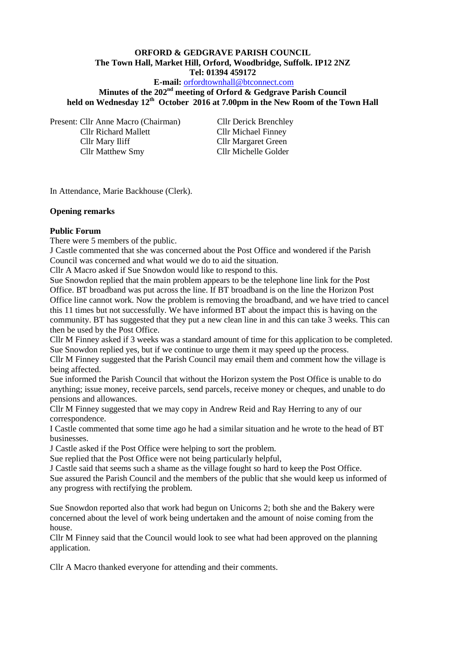#### **ORFORD & GEDGRAVE PARISH COUNCIL The Town Hall, Market Hill, Orford, Woodbridge, Suffolk. IP12 2NZ Tel: 01394 459172**

**E-mail:** [orfordtownhall@btconnect.com](mailto:orfordtownhall@btconnect.com)

**Minutes of the 202nd meeting of Orford & Gedgrave Parish Council held on Wednesday 12th October 2016 at 7.00pm in the New Room of the Town Hall**

Present: Cllr Anne Macro (Chairman) Cllr Derick Brenchley Cllr Richard Mallett Cllr Michael Finney Cllr Mary Iliff Cllr Margaret Green Cllr Matthew Smy Cllr Michelle Golder

In Attendance, Marie Backhouse (Clerk).

#### **Opening remarks**

#### **Public Forum**

There were 5 members of the public.

J Castle commented that she was concerned about the Post Office and wondered if the Parish Council was concerned and what would we do to aid the situation.

Cllr A Macro asked if Sue Snowdon would like to respond to this.

Sue Snowdon replied that the main problem appears to be the telephone line link for the Post Office. BT broadband was put across the line. If BT broadband is on the line the Horizon Post Office line cannot work. Now the problem is removing the broadband, and we have tried to cancel this 11 times but not successfully. We have informed BT about the impact this is having on the community. BT has suggested that they put a new clean line in and this can take 3 weeks. This can then be used by the Post Office.

Cllr M Finney asked if 3 weeks was a standard amount of time for this application to be completed. Sue Snowdon replied yes, but if we continue to urge them it may speed up the process.

Cllr M Finney suggested that the Parish Council may email them and comment how the village is being affected.

Sue informed the Parish Council that without the Horizon system the Post Office is unable to do anything; issue money, receive parcels, send parcels, receive money or cheques, and unable to do pensions and allowances.

Cllr M Finney suggested that we may copy in Andrew Reid and Ray Herring to any of our correspondence.

I Castle commented that some time ago he had a similar situation and he wrote to the head of BT businesses.

J Castle asked if the Post Office were helping to sort the problem.

Sue replied that the Post Office were not being particularly helpful,

J Castle said that seems such a shame as the village fought so hard to keep the Post Office.

Sue assured the Parish Council and the members of the public that she would keep us informed of any progress with rectifying the problem.

Sue Snowdon reported also that work had begun on Unicorns 2; both she and the Bakery were concerned about the level of work being undertaken and the amount of noise coming from the house.

Cllr M Finney said that the Council would look to see what had been approved on the planning application.

Cllr A Macro thanked everyone for attending and their comments.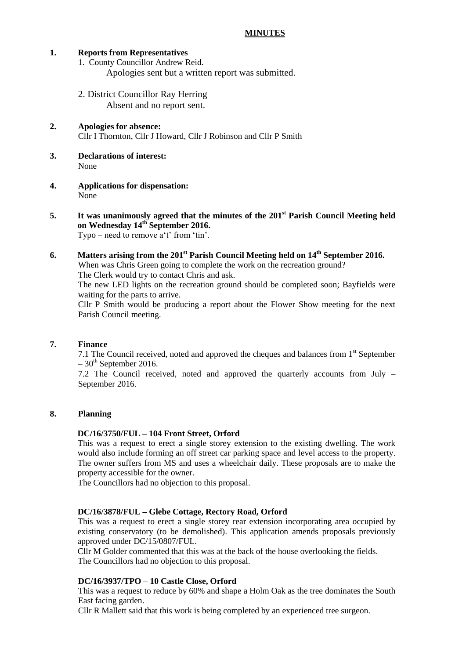#### **MINUTES**

#### **1. Reports from Representatives**

1. County Councillor Andrew Reid. Apologies sent but a written report was submitted.

- 2. District Councillor Ray Herring Absent and no report sent.
- **2. Apologies for absence:** Cllr I Thornton, Cllr J Howard, Cllr J Robinson and Cllr P Smith
- **3. Declarations of interest:** None
- **4. Applications for dispensation:** None
- **5. It was unanimously agreed that the minutes of the 201st Parish Council Meeting held on Wednesday 14th September 2016.** Typo – need to remove a't' from 'tin'.

**6. Matters arising from the 201st Parish Council Meeting held on 14th September 2016.** When was Chris Green going to complete the work on the recreation ground? The Clerk would try to contact Chris and ask. The new LED lights on the recreation ground should be completed soon; Bayfields were waiting for the parts to arrive. Cllr P Smith would be producing a report about the Flower Show meeting for the next Parish Council meeting.

## **7. Finance**

7.1 The Council received, noted and approved the cheques and balances from  $1<sup>st</sup>$  September  $-30$ <sup>th</sup> September 2016.

7.2 The Council received, noted and approved the quarterly accounts from July – September 2016.

## **8. Planning**

#### **DC/16/3750/FUL – 104 Front Street, Orford**

This was a request to erect a single storey extension to the existing dwelling. The work would also include forming an off street car parking space and level access to the property. The owner suffers from MS and uses a wheelchair daily. These proposals are to make the property accessible for the owner.

The Councillors had no objection to this proposal.

#### **DC/16/3878/FUL – Glebe Cottage, Rectory Road, Orford**

This was a request to erect a single storey rear extension incorporating area occupied by existing conservatory (to be demolished). This application amends proposals previously approved under DC/15/0807/FUL.

Cllr M Golder commented that this was at the back of the house overlooking the fields. The Councillors had no objection to this proposal.

#### **DC/16/3937/TPO – 10 Castle Close, Orford**

This was a request to reduce by 60% and shape a Holm Oak as the tree dominates the South East facing garden.

Cllr R Mallett said that this work is being completed by an experienced tree surgeon.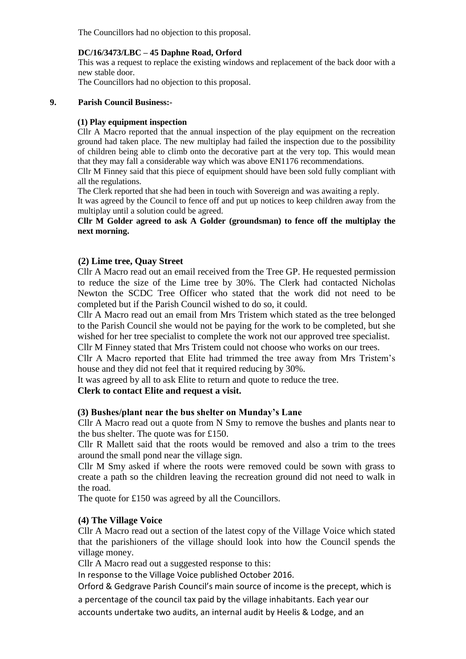The Councillors had no objection to this proposal.

## **DC/16/3473/LBC – 45 Daphne Road, Orford**

This was a request to replace the existing windows and replacement of the back door with a new stable door.

The Councillors had no objection to this proposal.

#### **9. Parish Council Business:-**

## **(1) Play equipment inspection**

Cllr A Macro reported that the annual inspection of the play equipment on the recreation ground had taken place. The new multiplay had failed the inspection due to the possibility of children being able to climb onto the decorative part at the very top. This would mean that they may fall a considerable way which was above EN1176 recommendations.

Cllr M Finney said that this piece of equipment should have been sold fully compliant with all the regulations.

The Clerk reported that she had been in touch with Sovereign and was awaiting a reply.

It was agreed by the Council to fence off and put up notices to keep children away from the multiplay until a solution could be agreed.

## **Cllr M Golder agreed to ask A Golder (groundsman) to fence off the multiplay the next morning.**

## **(2) Lime tree, Quay Street**

Cllr A Macro read out an email received from the Tree GP. He requested permission to reduce the size of the Lime tree by 30%. The Clerk had contacted Nicholas Newton the SCDC Tree Officer who stated that the work did not need to be completed but if the Parish Council wished to do so, it could.

Cllr A Macro read out an email from Mrs Tristem which stated as the tree belonged to the Parish Council she would not be paying for the work to be completed, but she wished for her tree specialist to complete the work not our approved tree specialist.

Cllr M Finney stated that Mrs Tristem could not choose who works on our trees.

Cllr A Macro reported that Elite had trimmed the tree away from Mrs Tristem's house and they did not feel that it required reducing by 30%.

It was agreed by all to ask Elite to return and quote to reduce the tree.

# **Clerk to contact Elite and request a visit.**

## **(3) Bushes/plant near the bus shelter on Munday's Lane**

Cllr A Macro read out a quote from N Smy to remove the bushes and plants near to the bus shelter. The quote was for £150.

Cllr R Mallett said that the roots would be removed and also a trim to the trees around the small pond near the village sign.

Cllr M Smy asked if where the roots were removed could be sown with grass to create a path so the children leaving the recreation ground did not need to walk in the road.

The quote for £150 was agreed by all the Councillors.

## **(4) The Village Voice**

Cllr A Macro read out a section of the latest copy of the Village Voice which stated that the parishioners of the village should look into how the Council spends the village money.

Cllr A Macro read out a suggested response to this:

In response to the Village Voice published October 2016.

Orford & Gedgrave Parish Council's main source of income is the precept, which is

a percentage of the council tax paid by the village inhabitants. Each year our

accounts undertake two audits, an internal audit by Heelis & Lodge, and an